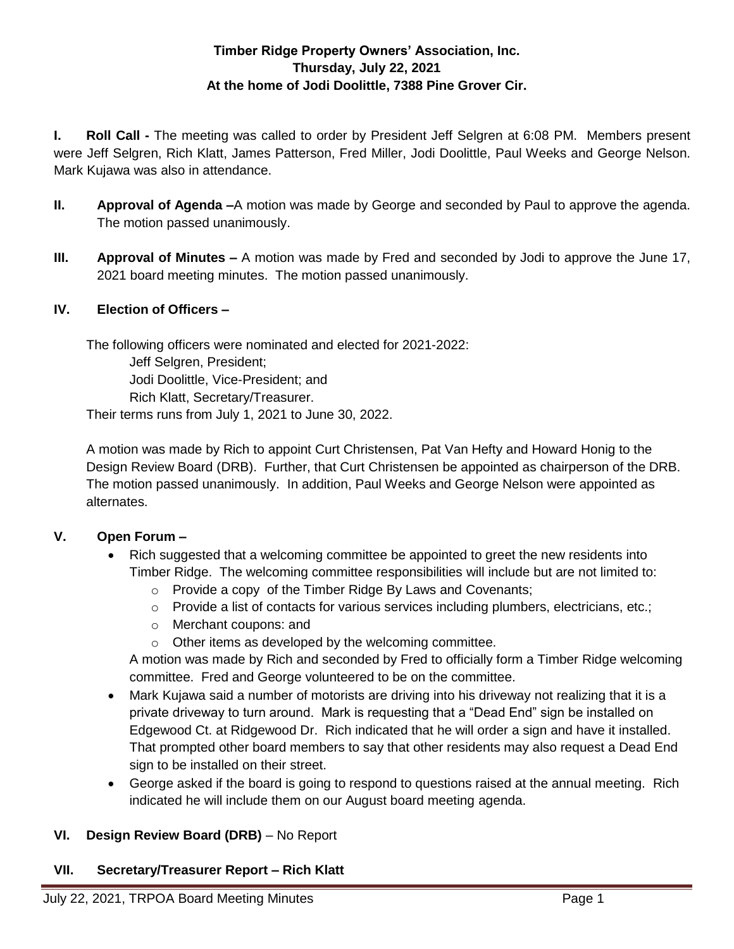## **Timber Ridge Property Owners' Association, Inc. Thursday, July 22, 2021 At the home of Jodi Doolittle, 7388 Pine Grover Cir.**

**I. Roll Call -** The meeting was called to order by President Jeff Selgren at 6:08 PM. Members present were Jeff Selgren, Rich Klatt, James Patterson, Fred Miller, Jodi Doolittle, Paul Weeks and George Nelson. Mark Kujawa was also in attendance.

- **II. Approval of Agenda –**A motion was made by George and seconded by Paul to approve the agenda. The motion passed unanimously.
- **III. Approval of Minutes –** A motion was made by Fred and seconded by Jodi to approve the June 17, 2021 board meeting minutes. The motion passed unanimously.

### **IV. Election of Officers –**

The following officers were nominated and elected for 2021-2022:

Jeff Selgren, President;

Jodi Doolittle, Vice-President; and

Rich Klatt, Secretary/Treasurer.

Their terms runs from July 1, 2021 to June 30, 2022.

A motion was made by Rich to appoint Curt Christensen, Pat Van Hefty and Howard Honig to the Design Review Board (DRB). Further, that Curt Christensen be appointed as chairperson of the DRB. The motion passed unanimously. In addition, Paul Weeks and George Nelson were appointed as alternates.

# **V. Open Forum –**

- Rich suggested that a welcoming committee be appointed to greet the new residents into Timber Ridge. The welcoming committee responsibilities will include but are not limited to:
	- o Provide a copy of the Timber Ridge By Laws and Covenants;
	- $\circ$  Provide a list of contacts for various services including plumbers, electricians, etc.;
	- o Merchant coupons: and
	- o Other items as developed by the welcoming committee.

A motion was made by Rich and seconded by Fred to officially form a Timber Ridge welcoming committee. Fred and George volunteered to be on the committee.

- Mark Kujawa said a number of motorists are driving into his driveway not realizing that it is a private driveway to turn around. Mark is requesting that a "Dead End" sign be installed on Edgewood Ct. at Ridgewood Dr. Rich indicated that he will order a sign and have it installed. That prompted other board members to say that other residents may also request a Dead End sign to be installed on their street.
- George asked if the board is going to respond to questions raised at the annual meeting. Rich indicated he will include them on our August board meeting agenda.

# **VI. Design Review Board (DRB)** – No Report

# **VII. Secretary/Treasurer Report – Rich Klatt**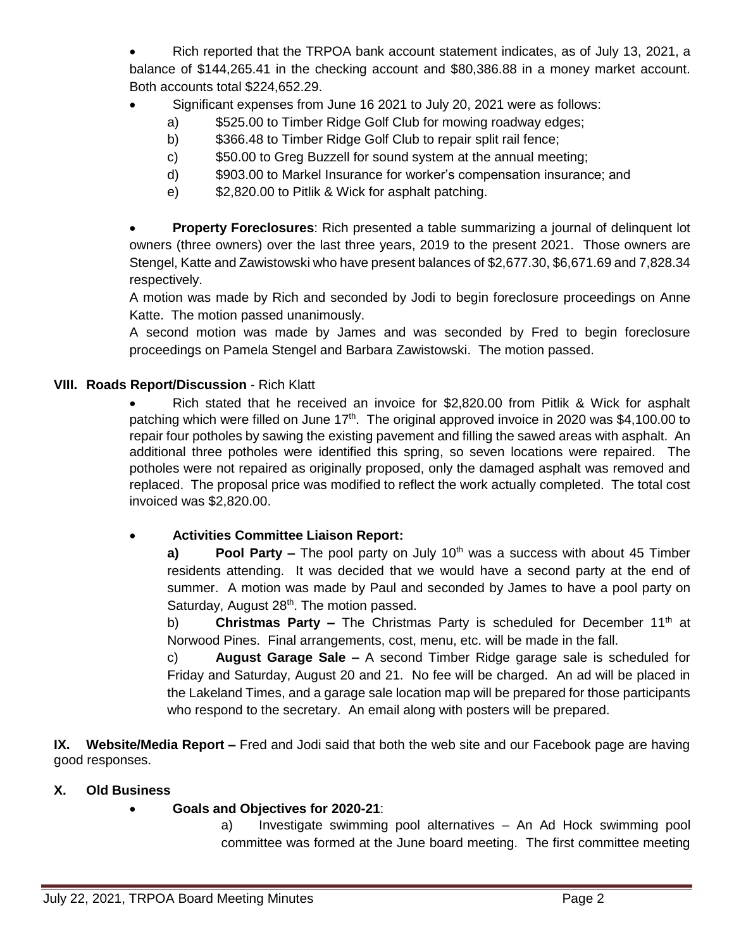Rich reported that the TRPOA bank account statement indicates, as of July 13, 2021, a balance of \$144,265.41 in the checking account and \$80,386.88 in a money market account. Both accounts total \$224,652.29.

- Significant expenses from June 16 2021 to July 20, 2021 were as follows:
	- a) \$525.00 to Timber Ridge Golf Club for mowing roadway edges;
	- b) \$366.48 to Timber Ridge Golf Club to repair split rail fence;
	- c) \$50.00 to Greg Buzzell for sound system at the annual meeting;
	- d) \$903.00 to Markel Insurance for worker's compensation insurance; and
	- e) \$2,820.00 to Pitlik & Wick for asphalt patching.

 **Property Foreclosures**: Rich presented a table summarizing a journal of delinquent lot owners (three owners) over the last three years, 2019 to the present 2021. Those owners are Stengel, Katte and Zawistowski who have present balances of \$2,677.30, \$6,671.69 and 7,828.34 respectively.

A motion was made by Rich and seconded by Jodi to begin foreclosure proceedings on Anne Katte. The motion passed unanimously.

A second motion was made by James and was seconded by Fred to begin foreclosure proceedings on Pamela Stengel and Barbara Zawistowski. The motion passed.

#### **VIII. Roads Report/Discussion** - Rich Klatt

• Rich stated that he received an invoice for \$2,820.00 from Pitlik & Wick for asphalt patching which were filled on June 17<sup>th</sup>. The original approved invoice in 2020 was \$4,100.00 to repair four potholes by sawing the existing pavement and filling the sawed areas with asphalt. An additional three potholes were identified this spring, so seven locations were repaired. The potholes were not repaired as originally proposed, only the damaged asphalt was removed and replaced. The proposal price was modified to reflect the work actually completed. The total cost invoiced was \$2,820.00.

#### **Activities Committee Liaison Report:**

**a) Pool Party –** The pool party on July 10<sup>th</sup> was a success with about 45 Timber residents attending. It was decided that we would have a second party at the end of summer. A motion was made by Paul and seconded by James to have a pool party on Saturday, August 28<sup>th</sup>. The motion passed.

b) **Christmas Party –** The Christmas Party is scheduled for December 11th at Norwood Pines. Final arrangements, cost, menu, etc. will be made in the fall.

c) **August Garage Sale –** A second Timber Ridge garage sale is scheduled for Friday and Saturday, August 20 and 21. No fee will be charged. An ad will be placed in the Lakeland Times, and a garage sale location map will be prepared for those participants who respond to the secretary. An email along with posters will be prepared.

**IX. Website/Media Report –** Fred and Jodi said that both the web site and our Facebook page are having good responses.

#### **X. Old Business**

### **Goals and Objectives for 2020-21**:

a) Investigate swimming pool alternatives – An Ad Hock swimming pool committee was formed at the June board meeting. The first committee meeting